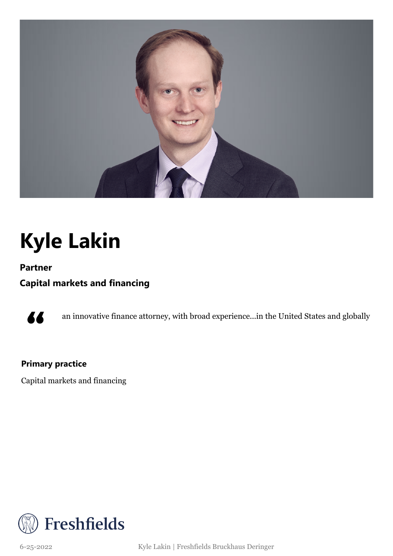

## **Kyle Lakin**

**Partner**

### **Capital markets and financing**



an innovative finance attorney, with broad experience...in the United States and globally

### **Primary practice**

Capital markets and financing



6-25-2022 Kyle Lakin | Freshfields Bruckhaus Deringer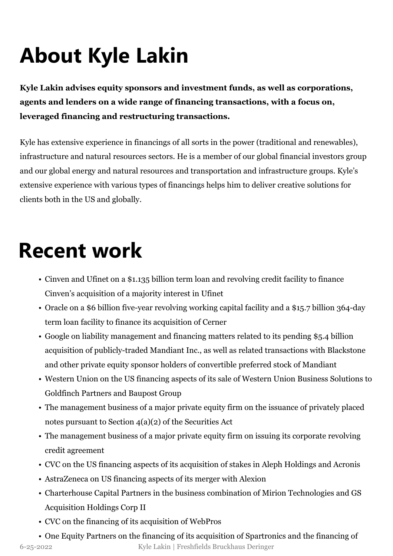# **About Kyle Lakin**

**Kyle Lakin advises equity sponsors and investment funds, as well as corporations, agents and lenders on a wide range of financing transactions, with a focus on, leveraged financing and restructuring transactions.**

Kyle has extensive experience in financings of all sorts in the power (traditional and renewables), infrastructure and natural resources sectors. He is a member of our global financial investors group and our global energy and natural resources and transportation and infrastructure groups. Kyle's extensive experience with various types of financings helps him to deliver creative solutions for clients both in the US and globally.

### **Recent work**

- Cinven and Ufinet on a \$1.135 billion term loan and revolving credit facility to finance Cinven's acquisition of a majority interest in Ufinet
- Oracle on a \$6 billion five-year revolving working capital facility and a \$15.7 billion 364-day term loan facility to finance its acquisition of Cerner
- Google on liability management and financing matters related to its pending \$5.4 billion acquisition of publicly-traded Mandiant Inc., as well as related transactions with Blackstone and other private equity sponsor holders of convertible preferred stock of Mandiant
- Western Union on the US financing aspects of its sale of Western Union Business Solutions to Goldfinch Partners and Baupost Group
- The management business of a major private equity firm on the issuance of privately placed notes pursuant to Section  $4(a)(2)$  of the Securities Act
- The management business of a major private equity firm on issuing its corporate revolving credit agreement
- CVC on the US financing aspects of its acquisition of stakes in Aleph Holdings and Acronis
- AstraZeneca on US financing aspects of its merger with Alexion
- Charterhouse Capital Partners in the business combination of Mirion Technologies and GS Acquisition Holdings Corp II
- CVC on the financing of its acquisition of WebPros

• One Equity Partners on the financing of its acquisition of Spartronics and the financing of 6-25-2022 Kyle Lakin | Freshfields Bruckhaus Deringer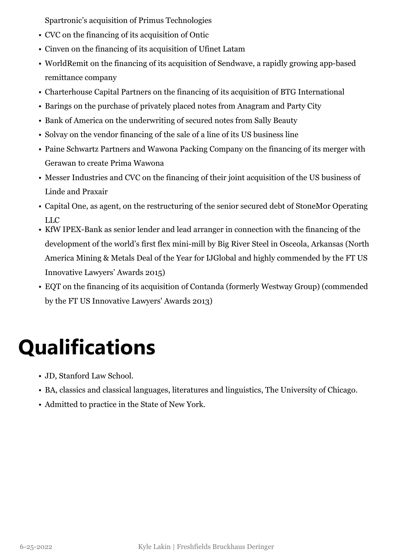Spartronic's acquisition of Primus Technologies

- CVC on the financing of its acquisition of Ontic
- Cinven on the financing of its acquisition of Ufinet Latam
- WorldRemit on the financing of its acquisition of Sendwave, a rapidly growing app-based remittance company
- Charterhouse Capital Partners on the financing of its acquisition of BTG International
- Barings on the purchase of privately placed notes from Anagram and Party City
- Bank of America on the underwriting of secured notes from Sally Beauty
- Solvay on the vendor financing of the sale of a line of its US business line
- Paine Schwartz Partners and Wawona Packing Company on the financing of its merger with Gerawan to create Prima Wawona
- Messer Industries and CVC on the financing of their joint acquisition of the US business of Linde and Praxair
- Capital One, as agent, on the restructuring of the senior secured debt of StoneMor Operating LLC
- KfW IPEX-Bank as senior lender and lead arranger in connection with the financing of the development of the world's first flex mini-mill by Big River Steel in Osceola, Arkansas (North America Mining & Metals Deal of the Year for IJGlobal and highly commended by the FT US Innovative Lawyers' Awards 2015)
- EQT on the financing of its acquisition of Contanda (formerly Westway Group) (commended by the FT US Innovative Lawyers' Awards 2013)

## **Qualifications**

- JD, Stanford Law School.
- BA, classics and classical languages, literatures and linguistics, The University of Chicago.
- Admitted to practice in the State of New York.